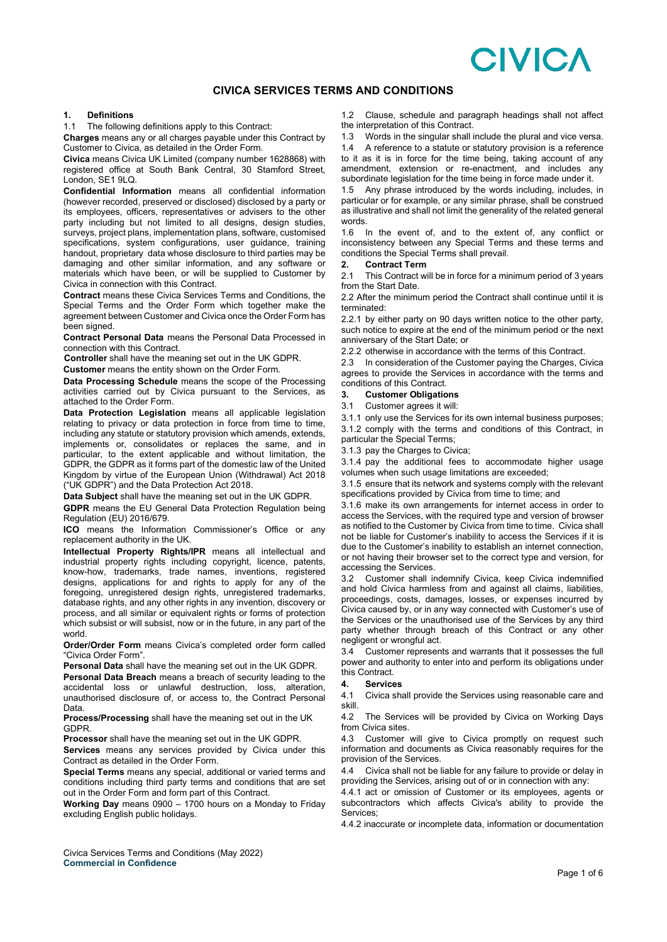# **CIVICA**

# **CIVICA SERVICES TERMS AND CONDITIONS**

# **1. Definitions**

The following definitions apply to this Contract:

**Charges** means any or all charges payable under this Contract by Customer to Civica, as detailed in the Order Form.

**Civica** means Civica UK Limited (company number 1628868) with registered office at South Bank Central, 30 Stamford Street, London, SE1 9LQ.

**Confidential Information** means all confidential information (however recorded, preserved or disclosed) disclosed by a party or its employees, officers, representatives or advisers to the other party including but not limited to all designs, design studies, surveys, project plans, implementation plans, software, customised specifications, system configurations, user guidance, training handout, proprietary data whose disclosure to third parties may be damaging and other similar information, and any software or materials which have been, or will be supplied to Customer by Civica in connection with this Contract.

**Contract** means these Civica Services Terms and Conditions, the Special Terms and the Order Form which together make the agreement between Customer and Civica once the Order Form has been signed.

**Contract Personal Data** means the Personal Data Processed in connection with this Contract.

**Controller** shall have the meaning set out in the UK GDPR.

**Customer** means the entity shown on the Order Form.

**Data Processing Schedule** means the scope of the Processing activities carried out by Civica pursuant to the Services, as attached to the Order Form.

**Data Protection Legislation** means all applicable legislation relating to privacy or data protection in force from time to time, including any statute or statutory provision which amends, extends, implements or, consolidates or replaces the same, and in particular, to the extent applicable and without limitation, the GDPR, the GDPR as it forms part of the domestic law of the United Kingdom by virtue of the European Union (Withdrawal) Act 2018 ("UK GDPR") and the Data Protection Act 2018.

**Data Subject** shall have the meaning set out in the UK GDPR.

**GDPR** means the EU General Data Protection Regulation being Regulation (EU) 2016/679.

**ICO** means the Information Commissioner's Office or any replacement authority in the UK.

**Intellectual Property Rights/IPR** means all intellectual and industrial property rights including copyright, licence, patents, know-how, trademarks, trade names, inventions, registered designs, applications for and rights to apply for any of the foregoing, unregistered design rights, unregistered trademarks, database rights, and any other rights in any invention, discovery or process, and all similar or equivalent rights or forms of protection which subsist or will subsist, now or in the future, in any part of the world.

**Order/Order Form** means Civica's completed order form called "Civica Order Form".

**Personal Data** shall have the meaning set out in the UK GDPR.

**Personal Data Breach** means a breach of security leading to the accidental loss or unlawful destruction, loss, alteration, unauthorised disclosure of, or access to, the Contract Personal Data.

**Process/Processing** shall have the meaning set out in the UK GDPR.

**Processor** shall have the meaning set out in the UK GDPR.

**Services** means any services provided by Civica under this Contract as detailed in the Order Form.

**Special Terms** means any special, additional or varied terms and conditions including third party terms and conditions that are set out in the Order Form and form part of this Contract.

**Working Day** means 0900 – 1700 hours on a Monday to Friday excluding English public holidays.

1.2 Clause, schedule and paragraph headings shall not affect the interpretation of this Contract.

1.3 Words in the singular shall include the plural and vice versa.

1.4 A reference to a statute or statutory provision is a reference to it as it is in force for the time being, taking account of any amendment, extension or re-enactment, and includes any subordinate legislation for the time being in force made under it.

1.5 Any phrase introduced by the words including, includes, in particular or for example, or any similar phrase, shall be construed as illustrative and shall not limit the generality of the related general words.

1.6 In the event of, and to the extent of, any conflict or inconsistency between any Special Terms and these terms and conditions the Special Terms shall prevail.<br>2. Contract Term

# **2. Contract Term**

This Contract will be in force for a minimum period of 3 years from the Start Date.

2.2 After the minimum period the Contract shall continue until it is terminated:

2.2.1 by either party on 90 days written notice to the other party, such notice to expire at the end of the minimum period or the next anniversary of the Start Date; or

2.2.2 otherwise in accordance with the terms of this Contract.

2.3 In consideration of the Customer paying the Charges, Civica agrees to provide the Services in accordance with the terms and conditions of this Contract.

# **3. Customer Obligations**

3.1 Customer agrees it will:

3.1.1 only use the Services for its own internal business purposes; 3.1.2 comply with the terms and conditions of this Contract, in particular the Special Terms;

3.1.3 pay the Charges to Civica;

3.1.4 pay the additional fees to accommodate higher usage volumes when such usage limitations are exceeded;

3.1.5 ensure that its network and systems comply with the relevant specifications provided by Civica from time to time; and

3.1.6 make its own arrangements for internet access in order to access the Services, with the required type and version of browser as notified to the Customer by Civica from time to time. Civica shall not be liable for Customer's inability to access the Services if it is due to the Customer's inability to establish an internet connection, or not having their browser set to the correct type and version, for accessing the Services.

3.2 Customer shall indemnify Civica, keep Civica indemnified and hold Civica harmless from and against all claims, liabilities, proceedings, costs, damages, losses, or expenses incurred by Civica caused by, or in any way connected with Customer's use of the Services or the unauthorised use of the Services by any third party whether through breach of this Contract or any other negligent or wrongful act.

3.4 Customer represents and warrants that it possesses the full power and authority to enter into and perform its obligations under this Contract.

## **4. Services**

4.1 Civica shall provide the Services using reasonable care and skill.

4.2 The Services will be provided by Civica on Working Days from Civica sites.

4.3 Customer will give to Civica promptly on request such information and documents as Civica reasonably requires for the provision of the Services.

4.4 Civica shall not be liable for any failure to provide or delay in providing the Services, arising out of or in connection with any:

4.4.1 act or omission of Customer or its employees, agents or subcontractors which affects Civica's ability to provide the Services;

4.4.2 inaccurate or incomplete data, information or documentation

Civica Services Terms and Conditions (May 2022) **Commercial in Confidence**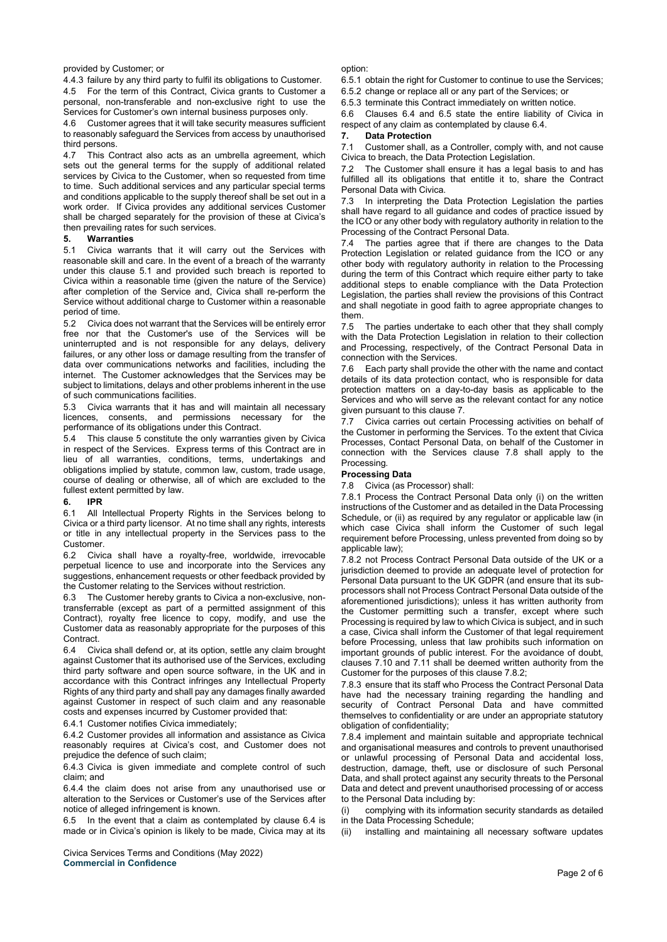# provided by Customer; or

4.4.3 failure by any third party to fulfil its obligations to Customer.

4.5 For the term of this Contract, Civica grants to Customer a personal, non-transferable and non-exclusive right to use the Services for Customer's own internal business purposes only.

4.6 Customer agrees that it will take security measures sufficient to reasonably safeguard the Services from access by unauthorised third persons.<br>4.7 This Co

This Contract also acts as an umbrella agreement, which sets out the general terms for the supply of additional related services by Civica to the Customer, when so requested from time to time. Such additional services and any particular special terms and conditions applicable to the supply thereof shall be set out in a work order. If Civica provides any additional services Customer shall be charged separately for the provision of these at Civica's then prevailing rates for such services.

# **5. Warranties**

5.1 Civica warrants that it will carry out the Services with reasonable skill and care. In the event of a breach of the warranty under this clause 5.1 and provided such breach is reported to Civica within a reasonable time (given the nature of the Service) after completion of the Service and, Civica shall re-perform the Service without additional charge to Customer within a reasonable period of time.

5.2 Civica does not warrant that the Services will be entirely error free nor that the Customer's use of the Services will be uninterrupted and is not responsible for any delays, delivery failures, or any other loss or damage resulting from the transfer of data over communications networks and facilities, including the internet. The Customer acknowledges that the Services may be subject to limitations, delays and other problems inherent in the use of such communications facilities.

5.3 Civica warrants that it has and will maintain all necessary licences, consents, and permissions necessary for the performance of its obligations under this Contract.

5.4 This clause 5 constitute the only warranties given by Civica in respect of the Services. Express terms of this Contract are in lieu of all warranties, conditions, terms, undertakings and obligations implied by statute, common law, custom, trade usage, course of dealing or otherwise, all of which are excluded to the fullest extent permitted by law.

## **6. IPR**

6.1 All Intellectual Property Rights in the Services belong to Civica or a third party licensor. At no time shall any rights, interests or title in any intellectual property in the Services pass to the Customer.

6.2 Civica shall have a royalty-free, worldwide, irrevocable perpetual licence to use and incorporate into the Services any suggestions, enhancement requests or other feedback provided by the Customer relating to the Services without restriction.

6.3 The Customer hereby grants to Civica a non-exclusive, nontransferrable (except as part of a permitted assignment of this Contract), royalty free licence to copy, modify, and use the Customer data as reasonably appropriate for the purposes of this **Contract** 

6.4 Civica shall defend or, at its option, settle any claim brought against Customer that its authorised use of the Services, excluding third party software and open source software, in the UK and in accordance with this Contract infringes any Intellectual Property Rights of any third party and shall pay any damages finally awarded against Customer in respect of such claim and any reasonable costs and expenses incurred by Customer provided that:

6.4.1 Customer notifies Civica immediately;

6.4.2 Customer provides all information and assistance as Civica reasonably requires at Civica's cost, and Customer does not prejudice the defence of such claim;

6.4.3 Civica is given immediate and complete control of such claim; and

6.4.4 the claim does not arise from any unauthorised use or alteration to the Services or Customer's use of the Services after notice of alleged infringement is known.

6.5 In the event that a claim as contemplated by clause 6.4 is made or in Civica's opinion is likely to be made, Civica may at its

Civica Services Terms and Conditions (May 2022) **Commercial in Confidence**

option:

6.5.1 obtain the right for Customer to continue to use the Services;

6.5.2 change or replace all or any part of the Services; or

6.5.3 terminate this Contract immediately on written notice.

6.6 Clauses 6.4 and 6.5 state the entire liability of Civica in respect of any claim as contemplated by clause 6.4.

#### **7. Data Protection**

7.1 Customer shall, as a Controller, comply with, and not cause Civica to breach, the Data Protection Legislation.

7.2 The Customer shall ensure it has a legal basis to and has fulfilled all its obligations that entitle it to, share the Contract Personal Data with Civica.

7.3 In interpreting the Data Protection Legislation the parties shall have regard to all guidance and codes of practice issued by the ICO or any other body with regulatory authority in relation to the Processing of the Contract Personal Data.

7.4 The parties agree that if there are changes to the Data Protection Legislation or related guidance from the ICO or any other body with regulatory authority in relation to the Processing during the term of this Contract which require either party to take additional steps to enable compliance with the Data Protection Legislation, the parties shall review the provisions of this Contract and shall negotiate in good faith to agree appropriate changes to them.<br>7.5

The parties undertake to each other that they shall comply with the Data Protection Legislation in relation to their collection and Processing, respectively, of the Contract Personal Data in connection with the Services.

7.6 Each party shall provide the other with the name and contact details of its data protection contact, who is responsible for data protection matters on a day-to-day basis as applicable to the Services and who will serve as the relevant contact for any notice given pursuant to this clause 7.

7.7 Civica carries out certain Processing activities on behalf of the Customer in performing the Services. To the extent that Civica Processes, Contact Personal Data, on behalf of the Customer in connection with the Services clause 7.8 shall apply to the Processing.

# **Processing Data**

7.8 Civica (as Processor) shall:

7.8.1 Process the Contract Personal Data only (i) on the written instructions of the Customer and as detailed in the Data Processing Schedule, or (ii) as required by any regulator or applicable law (in which case Civica shall inform the Customer of such legal requirement before Processing, unless prevented from doing so by applicable law);

7.8.2 not Process Contract Personal Data outside of the UK or a jurisdiction deemed to provide an adequate level of protection for Personal Data pursuant to the UK GDPR (and ensure that its subprocessors shall not Process Contract Personal Data outside of the aforementioned jurisdictions); unless it has written authority from the Customer permitting such a transfer, except where such Processing is required by law to which Civica is subject, and in such a case, Civica shall inform the Customer of that legal requirement before Processing, unless that law prohibits such information on important grounds of public interest. For the avoidance of doubt, clauses 7.10 and 7.11 shall be deemed written authority from the Customer for the purposes of this clause 7.8.2;

7.8.3 ensure that its staff who Process the Contract Personal Data have had the necessary training regarding the handling and security of Contract Personal Data and have committed themselves to confidentiality or are under an appropriate statutory obligation of confidentiality;

7.8.4 implement and maintain suitable and appropriate technical and organisational measures and controls to prevent unauthorised or unlawful processing of Personal Data and accidental loss, destruction, damage, theft, use or disclosure of such Personal Data, and shall protect against any security threats to the Personal Data and detect and prevent unauthorised processing of or access to the Personal Data including by:

(i) complying with its information security standards as detailed in the Data Processing Schedule;

(ii) installing and maintaining all necessary software updates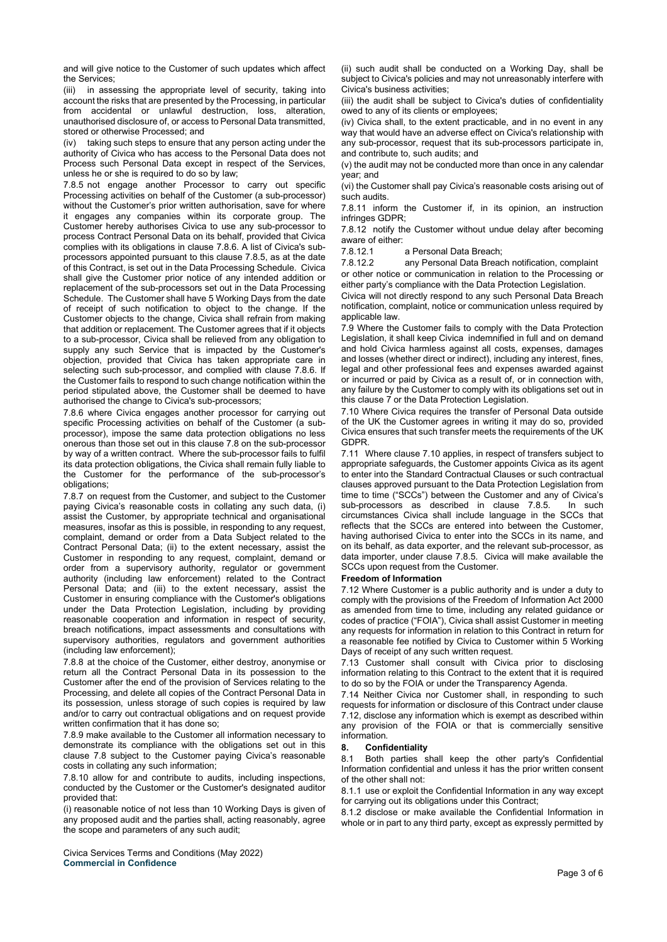and will give notice to the Customer of such updates which affect the Services;

(iii) in assessing the appropriate level of security, taking into account the risks that are presented by the Processing, in particular from accidental or unlawful destruction, loss, alteration, unauthorised disclosure of, or access to Personal Data transmitted, stored or otherwise Processed; and

(iv) taking such steps to ensure that any person acting under the authority of Civica who has access to the Personal Data does not Process such Personal Data except in respect of the Services, unless he or she is required to do so by law;

7.8.5 not engage another Processor to carry out specific Processing activities on behalf of the Customer (a sub-processor) without the Customer's prior written authorisation, save for where it engages any companies within its corporate group. The Customer hereby authorises Civica to use any sub-processor to process Contract Personal Data on its behalf, provided that Civica complies with its obligations in clause 7.8.6. A list of Civica's subprocessors appointed pursuant to this clause 7.8.5, as at the date of this Contract, is set out in the Data Processing Schedule. Civica shall give the Customer prior notice of any intended addition or replacement of the sub-processors set out in the Data Processing Schedule. The Customer shall have 5 Working Days from the date of receipt of such notification to object to the change. If the Customer objects to the change, Civica shall refrain from making that addition or replacement. The Customer agrees that if it objects to a sub-processor, Civica shall be relieved from any obligation to supply any such Service that is impacted by the Customer's objection, provided that Civica has taken appropriate care in selecting such sub-processor, and complied with clause 7.8.6. If the Customer fails to respond to such change notification within the period stipulated above, the Customer shall be deemed to have authorised the change to Civica's sub-processors;

7.8.6 where Civica engages another processor for carrying out specific Processing activities on behalf of the Customer (a subprocessor), impose the same data protection obligations no less onerous than those set out in this clause 7.8 on the sub-processor by way of a written contract. Where the sub-processor fails to fulfil its data protection obligations, the Civica shall remain fully liable to the Customer for the performance of the sub-processor's obligations;

7.8.7 on request from the Customer, and subject to the Customer paying Civica's reasonable costs in collating any such data, (i) assist the Customer, by appropriate technical and organisational measures, insofar as this is possible, in responding to any request, complaint, demand or order from a Data Subject related to the Contract Personal Data; (ii) to the extent necessary, assist the Customer in responding to any request, complaint, demand or order from a supervisory authority, regulator or government authority (including law enforcement) related to the Contract Personal Data; and (iii) to the extent necessary, assist the Customer in ensuring compliance with the Customer's obligations under the Data Protection Legislation, including by providing reasonable cooperation and information in respect of security, breach notifications, impact assessments and consultations with supervisory authorities, regulators and government authorities (including law enforcement);

7.8.8 at the choice of the Customer, either destroy, anonymise or return all the Contract Personal Data in its possession to the Customer after the end of the provision of Services relating to the Processing, and delete all copies of the Contract Personal Data in its possession, unless storage of such copies is required by law and/or to carry out contractual obligations and on request provide written confirmation that it has done so;

7.8.9 make available to the Customer all information necessary to demonstrate its compliance with the obligations set out in this clause 7.8 subject to the Customer paying Civica's reasonable costs in collating any such information;

7.8.10 allow for and contribute to audits, including inspections, conducted by the Customer or the Customer's designated auditor provided that:

(i) reasonable notice of not less than 10 Working Days is given of any proposed audit and the parties shall, acting reasonably, agree the scope and parameters of any such audit;

Civica Services Terms and Conditions (May 2022) **Commercial in Confidence**

(ii) such audit shall be conducted on a Working Day, shall be subject to Civica's policies and may not unreasonably interfere with Civica's business activities;

(iii) the audit shall be subject to Civica's duties of confidentiality owed to any of its clients or employees;

(iv) Civica shall, to the extent practicable, and in no event in any way that would have an adverse effect on Civica's relationship with any sub-processor, request that its sub-processors participate in, and contribute to, such audits; and

(v) the audit may not be conducted more than once in any calendar year; and

(vi) the Customer shall pay Civica's reasonable costs arising out of such audits.

7.8.11 inform the Customer if, in its opinion, an instruction infringes GDPR;

7.8.12 notify the Customer without undue delay after becoming aware of either:<br>7.8.12.1

7.8.12.1 a Personal Data Breach;<br>7.8.12.2 any Personal Data Breac

any Personal Data Breach notification, complaint or other notice or communication in relation to the Processing or either party's compliance with the Data Protection Legislation.

Civica will not directly respond to any such Personal Data Breach notification, complaint, notice or communication unless required by applicable law.

7.9 Where the Customer fails to comply with the Data Protection Legislation, it shall keep Civica indemnified in full and on demand and hold Civica harmless against all costs, expenses, damages and losses (whether direct or indirect), including any interest, fines, legal and other professional fees and expenses awarded against or incurred or paid by Civica as a result of, or in connection with, any failure by the Customer to comply with its obligations set out in this clause 7 or the Data Protection Legislation.

7.10 Where Civica requires the transfer of Personal Data outside of the UK the Customer agrees in writing it may do so, provided Civica ensures that such transfer meets the requirements of the UK GDPR.

7.11 Where clause 7.10 applies, in respect of transfers subject to appropriate safeguards, the Customer appoints Civica as its agent to enter into the Standard Contractual Clauses or such contractual clauses approved pursuant to the Data Protection Legislation from time to time ("SCCs") between the Customer and any of Civica's sub-processors as described in clause 7.8.5. In such sub-processors as described in clause 7.8.5. circumstances Civica shall include language in the SCCs that reflects that the SCCs are entered into between the Customer, having authorised Civica to enter into the SCCs in its name, and on its behalf, as data exporter, and the relevant sub-processor, as data importer, under clause 7.8.5. Civica will make available the SCCs upon request from the Customer.

#### **Freedom of Information**

7.12 Where Customer is a public authority and is under a duty to comply with the provisions of the Freedom of Information Act 2000 as amended from time to time, including any related guidance or codes of practice ("FOIA"), Civica shall assist Customer in meeting any requests for information in relation to this Contract in return for a reasonable fee notified by Civica to Customer within 5 Working Days of receipt of any such written request.

7.13 Customer shall consult with Civica prior to disclosing information relating to this Contract to the extent that it is required to do so by the FOIA or under the Transparency Agenda.

7.14 Neither Civica nor Customer shall, in responding to such requests for information or disclosure of this Contract under clause 7.12, disclose any information which is exempt as described within any provision of the FOIA or that is commercially sensitive information.

#### **8. Confidentiality**

8.1 Both parties shall keep the other party's Confidential Information confidential and unless it has the prior written consent of the other shall not:

8.1.1 use or exploit the Confidential Information in any way except for carrying out its obligations under this Contract;

8.1.2 disclose or make available the Confidential Information in whole or in part to any third party, except as expressly permitted by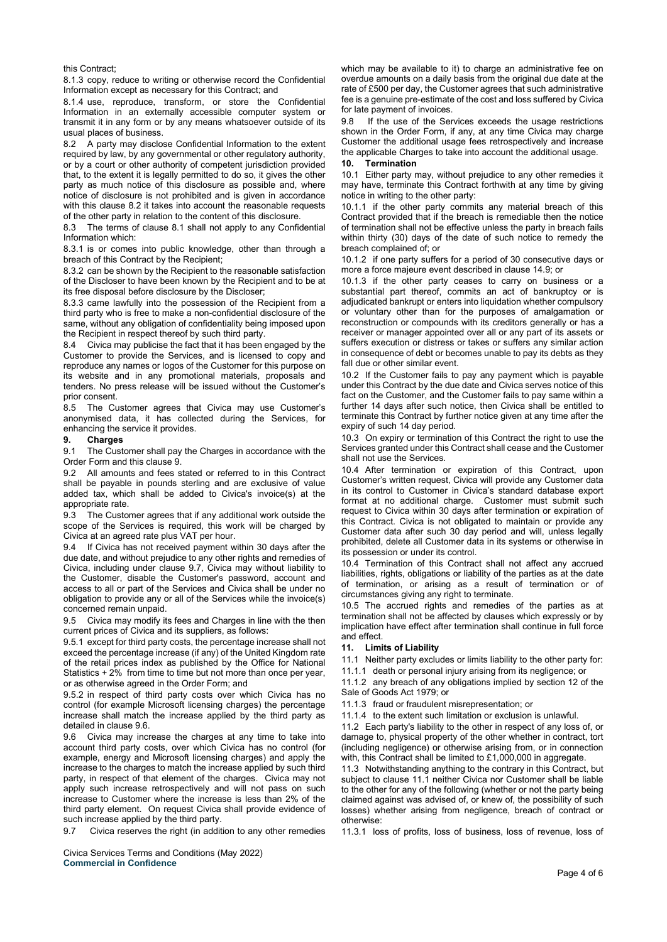this Contract;

8.1.3 copy, reduce to writing or otherwise record the Confidential Information except as necessary for this Contract; and

8.1.4 use, reproduce, transform, or store the Confidential Information in an externally accessible computer system or transmit it in any form or by any means whatsoever outside of its usual places of business.

A party may disclose Confidential Information to the extent required by law, by any governmental or other regulatory authority, or by a court or other authority of competent jurisdiction provided that, to the extent it is legally permitted to do so, it gives the other party as much notice of this disclosure as possible and, where notice of disclosure is not prohibited and is given in accordance with this clause 8.2 it takes into account the reasonable requests of the other party in relation to the content of this disclosure.

8.3 The terms of clause 8.1 shall not apply to any Confidential Information which:

8.3.1 is or comes into public knowledge, other than through a breach of this Contract by the Recipient;

8.3.2 can be shown by the Recipient to the reasonable satisfaction of the Discloser to have been known by the Recipient and to be at its free disposal before disclosure by the Discloser;

8.3.3 came lawfully into the possession of the Recipient from a third party who is free to make a non-confidential disclosure of the same, without any obligation of confidentiality being imposed upon the Recipient in respect thereof by such third party.

8.4 Civica may publicise the fact that it has been engaged by the Customer to provide the Services, and is licensed to copy and reproduce any names or logos of the Customer for this purpose on its website and in any promotional materials, proposals and tenders. No press release will be issued without the Customer's prior consent.

8.5 The Customer agrees that Civica may use Customer's anonymised data, it has collected during the Services, for enhancing the service it provides.<br>**9.** Charges

#### **9. Charges**

9.1 The Customer shall pay the Charges in accordance with the Order Form and this clause 9.

9.2 All amounts and fees stated or referred to in this Contract shall be payable in pounds sterling and are exclusive of value added tax, which shall be added to Civica's invoice(s) at the appropriate rate.

9.3 The Customer agrees that if any additional work outside the scope of the Services is required, this work will be charged by Civica at an agreed rate plus VAT per hour.

9.4 If Civica has not received payment within 30 days after the due date, and without prejudice to any other rights and remedies of Civica, including under clause 9.7, Civica may without liability to the Customer, disable the Customer's password, account and access to all or part of the Services and Civica shall be under no obligation to provide any or all of the Services while the invoice(s) concerned remain unpaid.

9.5 Civica may modify its fees and Charges in line with the then current prices of Civica and its suppliers, as follows:

9.5.1 except for third party costs, the percentage increase shall not exceed the percentage increase (if any) of the United Kingdom rate of the retail prices index as published by the Office for National Statistics + 2% from time to time but not more than once per year, or as otherwise agreed in the Order Form; and

9.5.2 in respect of third party costs over which Civica has no control (for example Microsoft licensing charges) the percentage increase shall match the increase applied by the third party as detailed in clause 9.6.

9.6 Civica may increase the charges at any time to take into account third party costs, over which Civica has no control (for example, energy and Microsoft licensing charges) and apply the increase to the charges to match the increase applied by such third party, in respect of that element of the charges. Civica may not apply such increase retrospectively and will not pass on such increase to Customer where the increase is less than 2% of the third party element. On request Civica shall provide evidence of such increase applied by the third party.

9.7 Civica reserves the right (in addition to any other remedies

Civica Services Terms and Conditions (May 2022) **Commercial in Confidence**

which may be available to it) to charge an administrative fee on overdue amounts on a daily basis from the original due date at the rate of £500 per day, the Customer agrees that such administrative fee is a genuine pre-estimate of the cost and loss suffered by Civica for late payment of invoices.<br>9.8 If the use of the Ser

If the use of the Services exceeds the usage restrictions shown in the Order Form, if any, at any time Civica may charge Customer the additional usage fees retrospectively and increase the applicable Charges to take into account the additional usage.<br>10. Termination

#### **10. Termination**

10.1 Either party may, without prejudice to any other remedies it may have, terminate this Contract forthwith at any time by giving notice in writing to the other party:

10.1.1 if the other party commits any material breach of this Contract provided that if the breach is remediable then the notice of termination shall not be effective unless the party in breach fails within thirty (30) days of the date of such notice to remedy the breach complained of; or

10.1.2 if one party suffers for a period of 30 consecutive days or more a force majeure event described in clause 14.9; or

10.1.3 if the other party ceases to carry on business or a substantial part thereof, commits an act of bankruptcy or is adjudicated bankrupt or enters into liquidation whether compulsory or voluntary other than for the purposes of amalgamation or reconstruction or compounds with its creditors generally or has a receiver or manager appointed over all or any part of its assets or suffers execution or distress or takes or suffers any similar action in consequence of debt or becomes unable to pay its debts as they fall due or other similar event.

10.2 If the Customer fails to pay any payment which is payable under this Contract by the due date and Civica serves notice of this fact on the Customer, and the Customer fails to pay same within a further 14 days after such notice, then Civica shall be entitled to terminate this Contract by further notice given at any time after the expiry of such 14 day period.

10.3 On expiry or termination of this Contract the right to use the Services granted under this Contract shall cease and the Customer shall not use the Services.

10.4 After termination or expiration of this Contract, upon Customer's written request, Civica will provide any Customer data in its control to Customer in Civica's standard database export format at no additional charge. Customer must submit such request to Civica within 30 days after termination or expiration of this Contract. Civica is not obligated to maintain or provide any Customer data after such 30 day period and will, unless legally prohibited, delete all Customer data in its systems or otherwise in its possession or under its control.

10.4 Termination of this Contract shall not affect any accrued liabilities, rights, obligations or liability of the parties as at the date of termination, or arising as a result of termination or of circumstances giving any right to terminate.

10.5 The accrued rights and remedies of the parties as at termination shall not be affected by clauses which expressly or by implication have effect after termination shall continue in full force and effect.

#### **11. Limits of Liability**

11.1 Neither party excludes or limits liability to the other party for:

11.1.1 death or personal injury arising from its negligence; or

11.1.2 any breach of any obligations implied by section 12 of the Sale of Goods Act 1979; or

11.1.3 fraud or fraudulent misrepresentation; or

11.1.4 to the extent such limitation or exclusion is unlawful.

11.2 Each party's liability to the other in respect of any loss of, or damage to, physical property of the other whether in contract, tort (including negligence) or otherwise arising from, or in connection with, this Contract shall be limited to £1,000,000 in aggregate.

11.3 Notwithstanding anything to the contrary in this Contract, but subject to clause 11.1 neither Civica nor Customer shall be liable to the other for any of the following (whether or not the party being claimed against was advised of, or knew of, the possibility of such losses) whether arising from negligence, breach of contract or otherwise:

11.3.1 loss of profits, loss of business, loss of revenue, loss of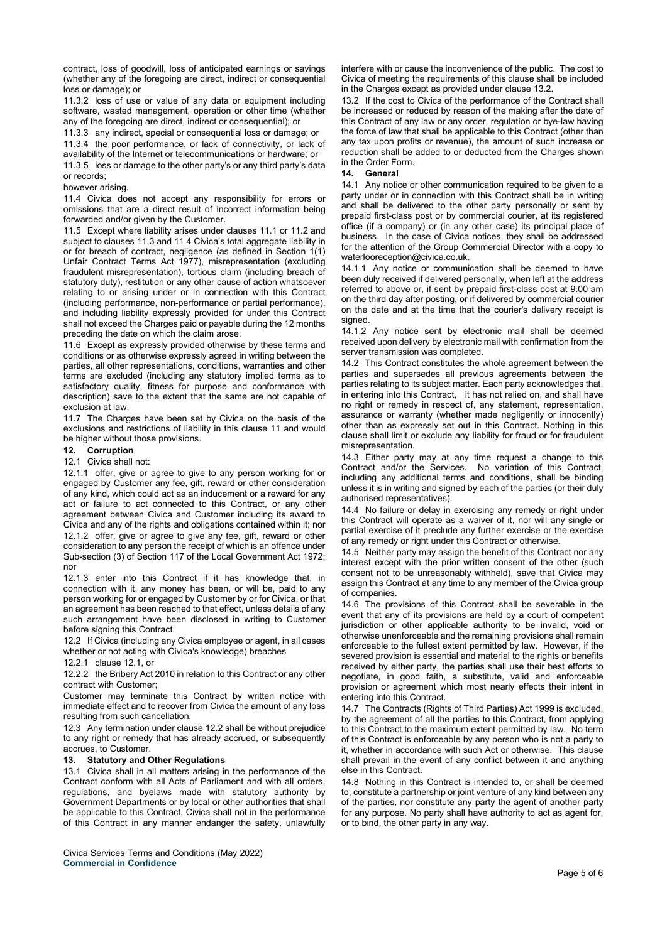contract, loss of goodwill, loss of anticipated earnings or savings (whether any of the foregoing are direct, indirect or consequential loss or damage); or

11.3.2 loss of use or value of any data or equipment including software, wasted management, operation or other time (whether any of the foregoing are direct, indirect or consequential); or

11.3.3 any indirect, special or consequential loss or damage; or

11.3.4 the poor performance, or lack of connectivity, or lack of availability of the Internet or telecommunications or hardware; or

11.3.5 loss or damage to the other party's or any third party's data or records;

#### however arising.

11.4 Civica does not accept any responsibility for errors or omissions that are a direct result of incorrect information being forwarded and/or given by the Customer.

11.5 Except where liability arises under clauses 11.1 or 11.2 and subject to clauses 11.3 and 11.4 Civica's total aggregate liability in or for breach of contract, negligence (as defined in Section 1(1) Unfair Contract Terms Act 1977), misrepresentation (excluding fraudulent misrepresentation), tortious claim (including breach of statutory duty), restitution or any other cause of action whatsoever relating to or arising under or in connection with this Contract (including performance, non-performance or partial performance), and including liability expressly provided for under this Contract shall not exceed the Charges paid or payable during the 12 months preceding the date on which the claim arose.

11.6 Except as expressly provided otherwise by these terms and conditions or as otherwise expressly agreed in writing between the parties, all other representations, conditions, warranties and other terms are excluded (including any statutory implied terms as to satisfactory quality, fitness for purpose and conformance with description) save to the extent that the same are not capable of exclusion at law.

11.7 The Charges have been set by Civica on the basis of the exclusions and restrictions of liability in this clause 11 and would be higher without those provisions.

# **12. Corruption**

#### 12.1 Civica shall not:

12.1.1 offer, give or agree to give to any person working for or engaged by Customer any fee, gift, reward or other consideration of any kind, which could act as an inducement or a reward for any act or failure to act connected to this Contract, or any other agreement between Civica and Customer including its award to Civica and any of the rights and obligations contained within it; nor 12.1.2 offer, give or agree to give any fee, gift, reward or other consideration to any person the receipt of which is an offence under Sub-section (3) of Section 117 of the Local Government Act 1972; nor

12.1.3 enter into this Contract if it has knowledge that, in connection with it, any money has been, or will be, paid to any person working for or engaged by Customer by or for Civica, or that an agreement has been reached to that effect, unless details of any such arrangement have been disclosed in writing to Customer before signing this Contract.

12.2 If Civica (including any Civica employee or agent, in all cases whether or not acting with Civica's knowledge) breaches

#### 12.2.1 clause 12.1, or

12.2.2 the Bribery Act 2010 in relation to this Contract or any other contract with Customer;

Customer may terminate this Contract by written notice with immediate effect and to recover from Civica the amount of any loss resulting from such cancellation.

12.3 Any termination under clause 12.2 shall be without prejudice to any right or remedy that has already accrued, or subsequently accrues, to Customer.

#### **13. Statutory and Other Regulations**

13.1 Civica shall in all matters arising in the performance of the Contract conform with all Acts of Parliament and with all orders, regulations, and byelaws made with statutory authority by Government Departments or by local or other authorities that shall be applicable to this Contract. Civica shall not in the performance of this Contract in any manner endanger the safety, unlawfully

Civica Services Terms and Conditions (May 2022) **Commercial in Confidence**

interfere with or cause the inconvenience of the public. The cost to Civica of meeting the requirements of this clause shall be included in the Charges except as provided under clause 13.2.

13.2 If the cost to Civica of the performance of the Contract shall be increased or reduced by reason of the making after the date of this Contract of any law or any order, regulation or bye-law having the force of law that shall be applicable to this Contract (other than any tax upon profits or revenue), the amount of such increase or reduction shall be added to or deducted from the Charges shown in the Order Form.

#### **14. General**

14.1 Any notice or other communication required to be given to a party under or in connection with this Contract shall be in writing and shall be delivered to the other party personally or sent by prepaid first-class post or by commercial courier, at its registered office (if a company) or (in any other case) its principal place of business. In the case of Civica notices, they shall be addressed for the attention of the Group Commercial Director with a copy to waterlooreception@civica.co.uk.

14.1.1 Any notice or communication shall be deemed to have been duly received if delivered personally, when left at the address referred to above or, if sent by prepaid first-class post at 9.00 am on the third day after posting, or if delivered by commercial courier on the date and at the time that the courier's delivery receipt is signed.

14.1.2 Any notice sent by electronic mail shall be deemed received upon delivery by electronic mail with confirmation from the server transmission was completed.

14.2 This Contract constitutes the whole agreement between the parties and supersedes all previous agreements between the parties relating to its subject matter. Each party acknowledges that, in entering into this Contract, it has not relied on, and shall have no right or remedy in respect of, any statement, representation, assurance or warranty (whether made negligently or innocently) other than as expressly set out in this Contract. Nothing in this clause shall limit or exclude any liability for fraud or for fraudulent misrepresentation.

14.3 Either party may at any time request a change to this Contract and/or the Services. No variation of this Contract, including any additional terms and conditions, shall be binding unless it is in writing and signed by each of the parties (or their duly authorised representatives).

14.4 No failure or delay in exercising any remedy or right under this Contract will operate as a waiver of it, nor will any single or partial exercise of it preclude any further exercise or the exercise of any remedy or right under this Contract or otherwise.

14.5 Neither party may assign the benefit of this Contract nor any interest except with the prior written consent of the other (such consent not to be unreasonably withheld), save that Civica may assign this Contract at any time to any member of the Civica group of companies.

14.6 The provisions of this Contract shall be severable in the event that any of its provisions are held by a court of competent jurisdiction or other applicable authority to be invalid, void or otherwise unenforceable and the remaining provisions shall remain enforceable to the fullest extent permitted by law. However, if the severed provision is essential and material to the rights or benefits received by either party, the parties shall use their best efforts to negotiate, in good faith, a substitute, valid and enforceable provision or agreement which most nearly effects their intent in entering into this Contract.

14.7 The Contracts (Rights of Third Parties) Act 1999 is excluded, by the agreement of all the parties to this Contract, from applying to this Contract to the maximum extent permitted by law. No term of this Contract is enforceable by any person who is not a party to it, whether in accordance with such Act or otherwise. This clause shall prevail in the event of any conflict between it and anything else in this Contract.

14.8 Nothing in this Contract is intended to, or shall be deemed to, constitute a partnership or joint venture of any kind between any of the parties, nor constitute any party the agent of another party for any purpose. No party shall have authority to act as agent for, or to bind, the other party in any way.